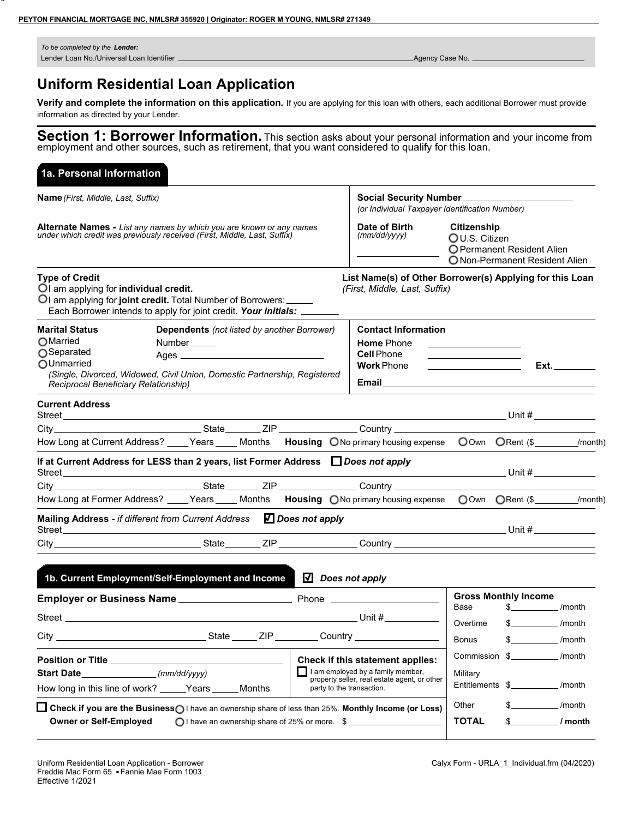*To be completed by the Lender:* Lender Loan No./Universal Loan Identifier **Agency Case No.** Agency Case No.

**#ADV** 

## **Uniform Residential Loan Application**

**Verify and complete the information on this application.** If you are applying for this loan with others, each additional Borrower must provide information as directed by your Lender.

**Section 1: Borrower Information.** This section asks about your personal information and your income from employment and other sources, such as retirement, that you want considered to qualify for this loan.

| 1a. Personal Information                                                                              |                                                                                                                                                                                                                                |  |  |                                                                                                                                                           |                                                                                                                                                                                                                               |                                                                                                     |                       |  |  |
|-------------------------------------------------------------------------------------------------------|--------------------------------------------------------------------------------------------------------------------------------------------------------------------------------------------------------------------------------|--|--|-----------------------------------------------------------------------------------------------------------------------------------------------------------|-------------------------------------------------------------------------------------------------------------------------------------------------------------------------------------------------------------------------------|-----------------------------------------------------------------------------------------------------|-----------------------|--|--|
| <b>Name</b> (First, Middle, Last, Suffix)                                                             |                                                                                                                                                                                                                                |  |  |                                                                                                                                                           | (or Individual Taxpayer Identification Number)                                                                                                                                                                                |                                                                                                     |                       |  |  |
|                                                                                                       | Alternate Names - List any names by which you are known or any names under which credit was previously received (First, Middle, Last, Suffix)                                                                                  |  |  | Date of Birth<br>(mm/dd/yyyy)                                                                                                                             |                                                                                                                                                                                                                               | <b>Citizenship</b><br>OU.S. Citizen<br>O Permanent Resident Alien<br>O Non-Permanent Resident Alien |                       |  |  |
| <b>Type of Credit</b><br>OI am applying for individual credit.                                        | OI am applying for joint credit. Total Number of Borrowers:<br>Each Borrower intends to apply for joint credit. Your initials:                                                                                                 |  |  | List Name(s) of Other Borrower(s) Applying for this Loan<br>(First, Middle, Last, Suffix)                                                                 |                                                                                                                                                                                                                               |                                                                                                     |                       |  |  |
| <b>Marital Status</b><br>○Married<br>○Separated<br>OUnmarried<br>Reciprocal Beneficiary Relationship) | <b>Dependents</b> (not listed by another Borrower)<br>Number <sub>_______</sub><br>(Single, Divorced, Widowed, Civil Union, Domestic Partnership, Registered                                                                   |  |  | <b>Contact Information</b><br><b>Home Phone</b><br><b>Cell</b> Phone<br><b>Work Phone</b>                                                                 | <u> 1980 - Johann Barn, mars ann an t-Amhain Aonaich an t-Aonaich an t-Aonaich an t-Aonaich an t-Aonaich an t-Aon</u><br><u> 1989 - Johann Barn, fransk politik (d. 1989)</u><br><u> The Common State Common State Common</u> |                                                                                                     | Ext.                  |  |  |
| <b>Current Address</b>                                                                                |                                                                                                                                                                                                                                |  |  |                                                                                                                                                           |                                                                                                                                                                                                                               |                                                                                                     |                       |  |  |
|                                                                                                       | City Current City Country Country Country Country Country Country Country Country Country Country Country Country Country Country Country Country Country Country Country Country Country Country Country Country Country Coun |  |  |                                                                                                                                                           |                                                                                                                                                                                                                               |                                                                                                     |                       |  |  |
|                                                                                                       | How Long at Current Address? ____ Years ____ Months Housing ONo primary housing expense OOwn ORent (\$ ______ /month)                                                                                                          |  |  |                                                                                                                                                           |                                                                                                                                                                                                                               |                                                                                                     |                       |  |  |
|                                                                                                       | If at Current Address for LESS than 2 years, list Former Address $\Box$ Does not apply                                                                                                                                         |  |  |                                                                                                                                                           |                                                                                                                                                                                                                               |                                                                                                     |                       |  |  |
|                                                                                                       |                                                                                                                                                                                                                                |  |  |                                                                                                                                                           |                                                                                                                                                                                                                               |                                                                                                     |                       |  |  |
|                                                                                                       | How Long at Former Address? ____ Years ____ Months Housing ONo primary housing expense OOwn ORent (\$_______/month)                                                                                                            |  |  |                                                                                                                                                           |                                                                                                                                                                                                                               |                                                                                                     |                       |  |  |
| Street.                                                                                               | Mailing Address - if different from Current Address   0 Does not apply                                                                                                                                                         |  |  |                                                                                                                                                           |                                                                                                                                                                                                                               |                                                                                                     |                       |  |  |
|                                                                                                       |                                                                                                                                                                                                                                |  |  |                                                                                                                                                           |                                                                                                                                                                                                                               |                                                                                                     |                       |  |  |
|                                                                                                       | 1b. Current Employment/Self-Employment and Income   V Does not apply                                                                                                                                                           |  |  |                                                                                                                                                           |                                                                                                                                                                                                                               |                                                                                                     |                       |  |  |
|                                                                                                       |                                                                                                                                                                                                                                |  |  |                                                                                                                                                           |                                                                                                                                                                                                                               | <b>Gross Monthly Income</b>                                                                         |                       |  |  |
|                                                                                                       |                                                                                                                                                                                                                                |  |  |                                                                                                                                                           |                                                                                                                                                                                                                               | Base \$ /month                                                                                      |                       |  |  |
|                                                                                                       |                                                                                                                                                                                                                                |  |  |                                                                                                                                                           | Overtime                                                                                                                                                                                                                      | $\frac{1}{2}$                                                                                       | /month                |  |  |
|                                                                                                       |                                                                                                                                                                                                                                |  |  |                                                                                                                                                           | Bonus                                                                                                                                                                                                                         |                                                                                                     | \$ /month             |  |  |
| <b>Start Date</b>                                                                                     | (mm/dd/yyyy)<br>How long in this line of work? _____Years _____Months                                                                                                                                                          |  |  | Check if this statement applies:<br>$\Box$ I am employed by a family member,<br>property seller, real estate agent, or other<br>party to the transaction. | Military                                                                                                                                                                                                                      | Commission \$<br>Entitlements \$____________/month                                                  | /month                |  |  |
|                                                                                                       | $\Box$ Check if you are the Business $\bigcirc$ I have an ownership share of less than 25%. Monthly Income (or Loss)                                                                                                           |  |  |                                                                                                                                                           | Other                                                                                                                                                                                                                         | $\mathbb{S}$                                                                                        | /month                |  |  |
| <b>Owner or Self-Employed</b>                                                                         |                                                                                                                                                                                                                                |  |  | ◯ I have an ownership share of 25% or more. \$                                                                                                            | <b>TOTAL</b>                                                                                                                                                                                                                  |                                                                                                     | $\frac{1}{2}$ / month |  |  |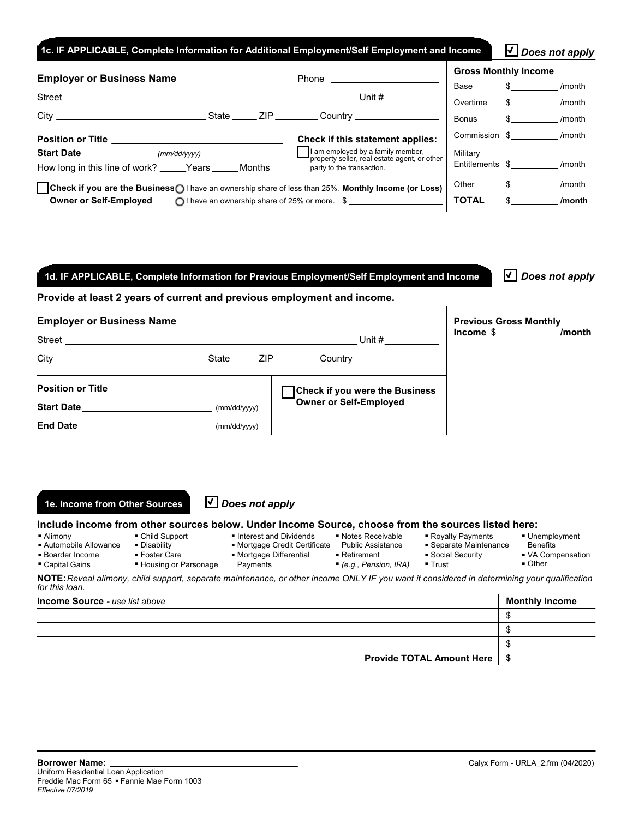### **1c. IF APPLICABLE, Complete Information for Additional Employment/Self Employment and Income** *Does not apply*

|                                                                                                                                                                                                                                |                                                                                   | <b>Gross Monthly Income</b> |                        |        |
|--------------------------------------------------------------------------------------------------------------------------------------------------------------------------------------------------------------------------------|-----------------------------------------------------------------------------------|-----------------------------|------------------------|--------|
|                                                                                                                                                                                                                                |                                                                                   | Base                        | $\mathbb{S}$           | /month |
|                                                                                                                                                                                                                                | Unit $#$                                                                          | Overtime                    | \$ /month              |        |
| City Current City Country Country Country Country Country Country Country Country Country Country Country Country Country Country Country Country Country Country Country Country Country Country Country Country Country Coun |                                                                                   | Bonus                       | $\mathbb{S}$           | /month |
|                                                                                                                                                                                                                                | <b>Check if this statement applies:</b>                                           |                             | Commission \$ /month   |        |
|                                                                                                                                                                                                                                | I am employed by a family member,<br>property seller, real estate agent, or other | Military                    |                        |        |
| How long in this line of work? _____Years _____Months                                                                                                                                                                          | party to the transaction.                                                         |                             | Entitlements \$ /month |        |
| □ Check if you are the Business O I have an ownership share of less than 25%. Monthly Income (or Loss)                                                                                                                         | Other                                                                             | $\mathbb{S}$                | /month                 |        |
| <b>Owner or Self-Employed</b>                                                                                                                                                                                                  | ◯ I have an ownership share of 25% or more. \$                                    | <b>TOTAL</b>                | $\mathbb{S}$           | /month |

### **1d. IF APPLICABLE, Complete Information for Previous Employment/Self Employment and Income** *Does not apply*

**Provide at least 2 years of current and previous employment and income.**

|                                             |              |                                       | <b>Previous Gross Monthly</b> |
|---------------------------------------------|--------------|---------------------------------------|-------------------------------|
| Street                                      |              | Unit $#$                              | $hcome \$ __ /month$          |
|                                             |              |                                       |                               |
| Position or Title _________________________ |              | <b>Check if you were the Business</b> |                               |
| Start Date ___________________________      | (mm/dd/yyyy) | Owner or Self-Employed                |                               |
| End Date __________________________         | (mm/dd/yyyy) |                                       |                               |

1e. Income from Other Sources **Dues 10 Does not apply** 

#### **Include income from other sources below. Under Income Source, choose from the sources listed here: . w. Under Income**<br>Interest and Dividends **IrCe, CNOOSE TI**<br>■ Notes Receivable **ere:**<br>▪Unemployment

**.** Automobile Allowance **.** Boarder Income Alimony

**.** Capital Gains

**. .** Child Support **. Disability** 

**.** Foster Care

■ Housing or Parsonage

- **.**
	- Payments
	- **Drammer Cheral Active Control Certificate**<br> **Active Mortgage Differential**<br>
	Payments<br>
	Payments<br>
	Pe.g., Pension, IR. Mortgage Differential
- **.** Retirement
- -
- 
- **.** Social Security
- **. .** VA Compensation **Benefits**
- 
- Other

**NOTE:** *Reveal alimony, child support, separate maintenance, or other income ONLY IF you want it considered in determining your qualification for this loan.*

| <b>Income Source - use list above</b> | <b>Monthly Income</b> |
|---------------------------------------|-----------------------|
|                                       |                       |
|                                       |                       |
|                                       |                       |
| <b>Provide TOTAL Amount Here</b>      |                       |

- *(e.g., Pension, IRA)* ■ Trust
- - -
- **.**
	- **.** Royalty Payments
- **.** Separate Maintenance
	- -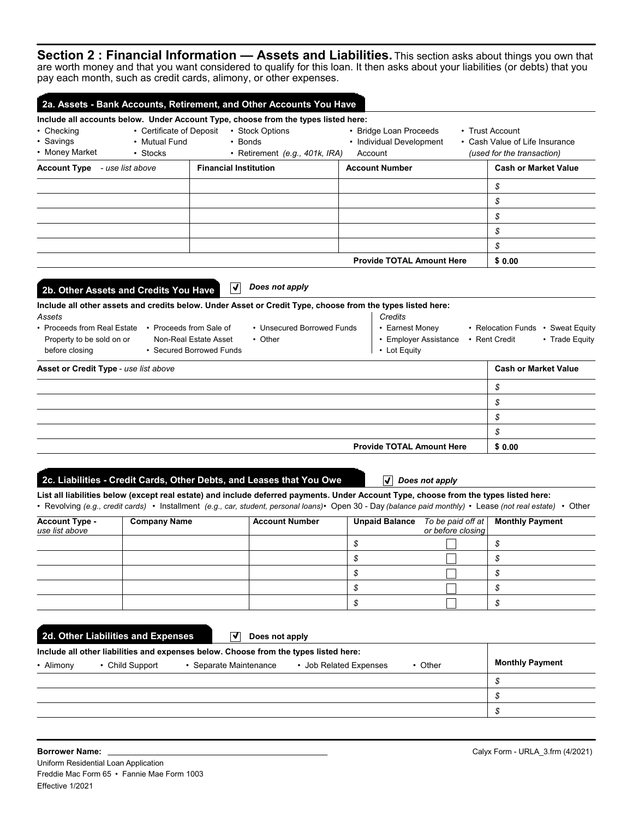**Section 2 : Financial Information — Assets and Liabilities.** This section asks about things you own that are worth money and that you want considered to qualify for this loan. It then asks about your liabilities (or debts) that you pay each month, such as credit cards, alimony, or other expenses.

|                                                                                                                               |                                                                  | 2a. Assets - Bank Accounts, Retirement, and Other Accounts You Have                                                                                                                                           |                                              |                                                                                |                                        |                                                                                                                                                              |
|-------------------------------------------------------------------------------------------------------------------------------|------------------------------------------------------------------|---------------------------------------------------------------------------------------------------------------------------------------------------------------------------------------------------------------|----------------------------------------------|--------------------------------------------------------------------------------|----------------------------------------|--------------------------------------------------------------------------------------------------------------------------------------------------------------|
| • Checking<br>• Savings<br>• Money Market                                                                                     | • Certificate of Deposit<br>• Mutual Fund<br>• Stocks            | Include all accounts below. Under Account Type, choose from the types listed here:<br>• Stock Options<br>$\cdot$ Bonds                                                                                        | · Retirement (e.g., 401k, IRA)               | • Bridge Loan Proceeds<br>• Individual Development<br>Account                  |                                        | • Trust Account<br>• Cash Value of Life Insurance<br>(used for the transaction)                                                                              |
| <b>Account Type</b>                                                                                                           | - use list above                                                 | <b>Financial Institution</b>                                                                                                                                                                                  |                                              | <b>Account Number</b>                                                          |                                        | <b>Cash or Market Value</b>                                                                                                                                  |
|                                                                                                                               |                                                                  |                                                                                                                                                                                                               |                                              |                                                                                |                                        | \$                                                                                                                                                           |
|                                                                                                                               |                                                                  |                                                                                                                                                                                                               |                                              |                                                                                |                                        | \$                                                                                                                                                           |
|                                                                                                                               |                                                                  |                                                                                                                                                                                                               |                                              |                                                                                |                                        | \$                                                                                                                                                           |
|                                                                                                                               |                                                                  |                                                                                                                                                                                                               |                                              |                                                                                |                                        | \$                                                                                                                                                           |
|                                                                                                                               |                                                                  |                                                                                                                                                                                                               |                                              |                                                                                |                                        | \$                                                                                                                                                           |
|                                                                                                                               |                                                                  |                                                                                                                                                                                                               |                                              | <b>Provide TOTAL Amount Here</b>                                               |                                        | \$0.00                                                                                                                                                       |
| Assets<br>• Proceeds from Real Estate<br>Property to be sold on or<br>before closing<br>Asset or Credit Type - use list above | 2b. Other Assets and Credits You Have<br>• Proceeds from Sale of | $ \mathsf{V} $<br>Include all other assets and credits below. Under Asset or Credit Type, choose from the types listed here:<br>Non-Real Estate Asset<br>• Other<br>• Secured Borrowed Funds                  | Does not apply<br>• Unsecured Borrowed Funds | Credits<br>• Earnest Money<br>• Lot Equity<br><b>Provide TOTAL Amount Here</b> | • Employer Assistance                  | • Relocation Funds • Sweat Equity<br>• Rent Credit<br>• Trade Equity<br><b>Cash or Market Value</b><br>\$<br>\$<br>\$<br>\$<br>\$0.00                        |
|                                                                                                                               |                                                                  | 2c. Liabilities - Credit Cards, Other Debts, and Leases that You Owe<br>List all liabilities below (except real estate) and include deferred payments. Under Account Type, choose from the types listed here: |                                              | IV I                                                                           | Does not apply                         |                                                                                                                                                              |
|                                                                                                                               |                                                                  |                                                                                                                                                                                                               |                                              |                                                                                |                                        | • Revolving (e.g., credit cards) • Installment (e.g., car, student, personal loans) • Open 30 - Day (balance paid monthly) • Lease (not real estate) • Other |
| <b>Account Type -</b><br>use list above                                                                                       | <b>Company Name</b>                                              |                                                                                                                                                                                                               | <b>Account Number</b>                        | <b>Unpaid Balance</b>                                                          | To be paid off at<br>or before closing | <b>Monthly Payment</b>                                                                                                                                       |
|                                                                                                                               |                                                                  |                                                                                                                                                                                                               |                                              | \$                                                                             |                                        | \$                                                                                                                                                           |
|                                                                                                                               |                                                                  |                                                                                                                                                                                                               |                                              | \$                                                                             | ┍                                      | \$                                                                                                                                                           |
|                                                                                                                               |                                                                  |                                                                                                                                                                                                               |                                              | \$                                                                             |                                        | \$                                                                                                                                                           |
|                                                                                                                               |                                                                  |                                                                                                                                                                                                               |                                              | \$                                                                             |                                        | \$                                                                                                                                                           |
|                                                                                                                               |                                                                  |                                                                                                                                                                                                               |                                              | \$                                                                             |                                        | \$                                                                                                                                                           |
|                                                                                                                               | 2d. Other Liabilities and Expenses                               | ∣√∣                                                                                                                                                                                                           | Does not apply                               |                                                                                |                                        |                                                                                                                                                              |
| • Alimony                                                                                                                     | • Child Support                                                  | Include all other liabilities and expenses below. Choose from the types listed here:<br>• Separate Maintenance                                                                                                | • Job Related Expenses                       |                                                                                | • Other                                | <b>Monthly Payment</b>                                                                                                                                       |
|                                                                                                                               |                                                                  |                                                                                                                                                                                                               |                                              |                                                                                |                                        | \$                                                                                                                                                           |

**Borrower Name:**

Uniform Residential Loan Application Freddie Mac Form 65 • Fannie Mae Form 1003 Effective 1/2021

Calyx Form - URLA\_3.frm (4/2021)

*\$ \$*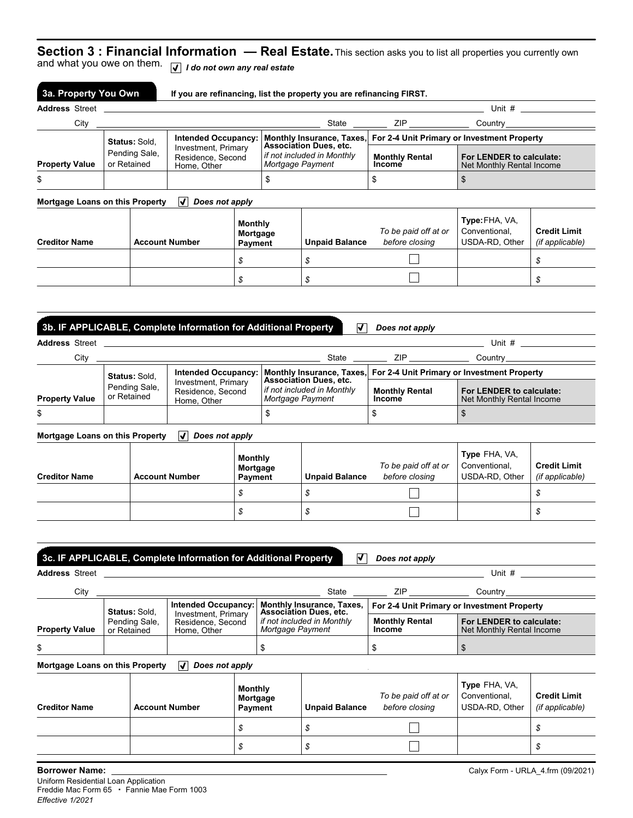### **Section 3 : Financial Information — Real Estate.** This section asks you to list all properties you currently own and what you owe on them. **V** *I* do not own any real estate

| 3a. Property You Own            |                                                                |                       |                                                                 |                                       |                                        | If you are refinancing, list the property you are refinancing FIRST. |                                                                                                 |                                                       |                                        |
|---------------------------------|----------------------------------------------------------------|-----------------------|-----------------------------------------------------------------|---------------------------------------|----------------------------------------|----------------------------------------------------------------------|-------------------------------------------------------------------------------------------------|-------------------------------------------------------|----------------------------------------|
|                                 |                                                                |                       |                                                                 |                                       |                                        |                                                                      |                                                                                                 |                                                       |                                        |
| City                            |                                                                |                       |                                                                 |                                       |                                        |                                                                      | State ___________ ZIP _________________ Country ____________                                    |                                                       |                                        |
|                                 |                                                                | Status: Sold,         | <b>Intended Occupancy:</b>                                      |                                       |                                        | Monthly Insurance, Taxes,                                            | For 2-4 Unit Primary or Investment Property                                                     |                                                       |                                        |
| <b>Property Value</b>           | or Retained                                                    | Pending Sale,         | <b>Investment, Primary</b><br>Residence, Second<br>Home, Other  |                                       | Mortgage Payment                       | Associátion Dues, etc.<br>if not included in Monthly                 | <b>Monthly Rental</b><br><b>Income</b>                                                          | For LENDER to calculate:<br>Net Monthly Rental Income |                                        |
| \$                              |                                                                |                       |                                                                 |                                       | \$                                     |                                                                      | \$                                                                                              | \$                                                    |                                        |
| Mortgage Loans on this Property |                                                                |                       | ∣√∣<br>Does not apply                                           |                                       |                                        |                                                                      |                                                                                                 |                                                       |                                        |
| <b>Creditor Name</b>            |                                                                | <b>Account Number</b> |                                                                 | <b>Monthly</b><br>Mortgage<br>Payment |                                        | <b>Unpaid Balance</b>                                                | To be paid off at or<br>before closing                                                          | Type:FHA, VA,<br>Conventional,<br>USDA-RD, Other      | <b>Credit Limit</b><br>(if applicable) |
|                                 |                                                                |                       |                                                                 | \$                                    |                                        | \$                                                                   |                                                                                                 |                                                       | \$                                     |
|                                 |                                                                |                       |                                                                 | \$                                    |                                        | \$                                                                   |                                                                                                 |                                                       | \$                                     |
|                                 |                                                                |                       | 3b. IF APPLICABLE, Complete Information for Additional Property |                                       |                                        | ⊽                                                                    | Does not apply                                                                                  |                                                       |                                        |
| $City$ $\_$                     |                                                                |                       |                                                                 |                                       |                                        |                                                                      |                                                                                                 |                                                       |                                        |
|                                 |                                                                | Status: Sold.         | <b>Intended Occupancy:</b>                                      |                                       |                                        | <b>Monthly Insurance, Taxes,</b>                                     | For 2-4 Unit Primary or Investment Property                                                     |                                                       |                                        |
| <b>Property Value</b>           | or Retained                                                    | Pending Sale,         | Investment, Primary<br>Residence, Second<br>Home, Other         |                                       | Mortgage Payment                       | Associátion Dues, etc.<br>if not included in Monthly                 | <b>Monthly Rental</b><br>For LENDER to calculate:<br><b>Income</b><br>Net Monthly Rental Income |                                                       |                                        |
| \$                              |                                                                |                       |                                                                 |                                       | \$                                     |                                                                      | \$                                                                                              | \$                                                    |                                        |
| Mortgage Loans on this Property |                                                                |                       | M<br>Does not apply                                             |                                       |                                        |                                                                      |                                                                                                 |                                                       |                                        |
| <b>Creditor Name</b>            | <b>Monthly</b><br>Mortgage<br><b>Account Number</b><br>Payment |                       |                                                                 | <b>Unpaid Balance</b>                 | To be paid off at or<br>before closing | Type FHA, VA,<br>Conventional,<br>USDA-RD, Other                     | <b>Credit Limit</b><br>(if applicable)                                                          |                                                       |                                        |
|                                 |                                                                |                       |                                                                 | \$                                    |                                        | \$                                                                   |                                                                                                 |                                                       | \$                                     |
|                                 |                                                                |                       |                                                                 | S                                     |                                        | \$                                                                   |                                                                                                 |                                                       | \$                                     |
|                                 |                                                                |                       |                                                                 |                                       |                                        |                                                                      |                                                                                                 |                                                       |                                        |
|                                 |                                                                |                       | 3c. IF APPLICABLE, Complete Information for Additional Property |                                       |                                        |                                                                      | Does not apply                                                                                  |                                                       |                                        |
| <b>Address Street</b>           |                                                                |                       |                                                                 |                                       |                                        |                                                                      |                                                                                                 | Unit #                                                |                                        |

| Citv                  |                              |                                                         | <b>State</b>                                                                     | <b>ZIP</b>                                  | Country                                               |
|-----------------------|------------------------------|---------------------------------------------------------|----------------------------------------------------------------------------------|---------------------------------------------|-------------------------------------------------------|
|                       | <b>Status: Sold.</b>         |                                                         | Intended Occupancy:   Monthly Insurance, Taxes,<br><b>Association Dues, etc.</b> | For 2-4 Unit Primary or Investment Property |                                                       |
| <b>Property Value</b> | Pending Sale,<br>or Retained | Investment, Primary<br>Residence, Second<br>Home, Other | if not included in Monthly<br>Mortgage Payment                                   | <b>Monthly Rental</b><br><b>Income</b>      | For LENDER to calculate:<br>Net Monthly Rental Income |
| \$                    |                              |                                                         |                                                                                  |                                             |                                                       |

#### **Mortgage Loans on this Property** *Does not apply*

| <b>Creditor Name</b> | <b>Account Number</b> | <b>Monthly</b><br>Mortgage<br>Payment | <b>Unpaid Balance</b> | To be paid off at or<br>before closing | Type FHA, VA,<br>Conventional,<br>USDA-RD, Other | <b>Credit Limit</b><br>(if applicable) |
|----------------------|-----------------------|---------------------------------------|-----------------------|----------------------------------------|--------------------------------------------------|----------------------------------------|
|                      |                       |                                       | Φ                     |                                        |                                                  |                                        |
|                      |                       |                                       | J.                    |                                        |                                                  |                                        |

Calyx Form - URLA\_4.frm (09/2021)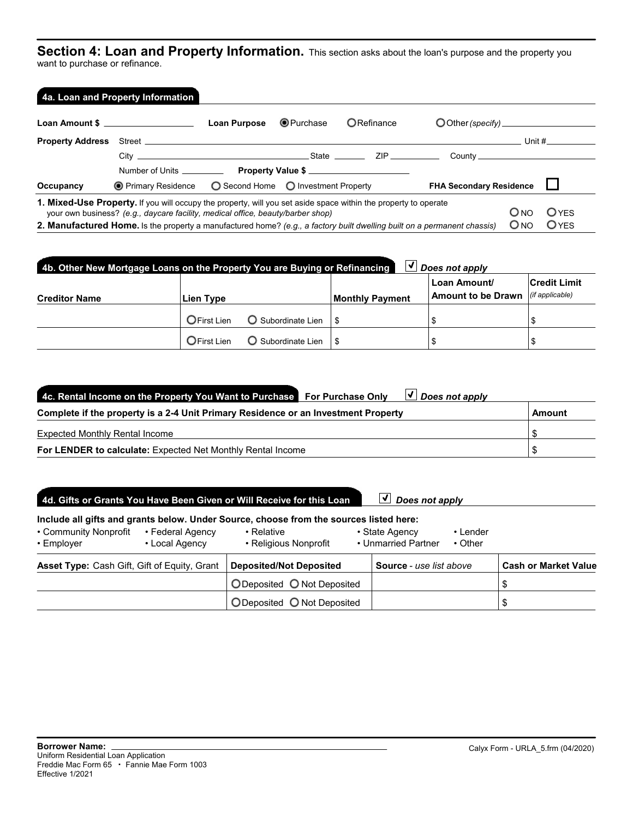**Section 4: Loan and Property Information.** This section asks about the loan's purpose and the property you want to purchase or refinance.

|                         | 4a. Loan and Property Information                                                                                                                                                                                                    |                                                       |                   |                   |                                |                        |              |
|-------------------------|--------------------------------------------------------------------------------------------------------------------------------------------------------------------------------------------------------------------------------------|-------------------------------------------------------|-------------------|-------------------|--------------------------------|------------------------|--------------|
|                         | Loan Amount \$                                                                                                                                                                                                                       | <b>Loan Purpose</b>                                   | <b>O</b> Purchase | ORefinance        |                                |                        |              |
| <b>Property Address</b> | Street <b>Executive Contract Contract Contract Contract Contract Contract Contract Contract Contract Contract Contract Contract Contract Contract Contract Contract Contract Contract Contract Contract Contract Contract Contra</b> |                                                       |                   |                   |                                | Unit $#_$              |              |
|                         |                                                                                                                                                                                                                                      |                                                       |                   |                   |                                |                        |              |
|                         | Number of Units __________                                                                                                                                                                                                           |                                                       |                   | Property Value \$ |                                |                        |              |
| Occupancy               | <b>O</b> Primary Residence                                                                                                                                                                                                           | $\bigcirc$ Second Home $\bigcirc$ Investment Property |                   |                   | <b>FHA Secondary Residence</b> |                        |              |
|                         | 1. Mixed-Use Property. If you will occupy the property, will you set aside space within the property to operate<br>your own business? (e.g., daycare facility, medical office, beauty/barber shop)                                   |                                                       |                   |                   |                                | ONO                    | <b>O</b> YES |
|                         | 2. Manufactured Home. Is the property a manufactured home? (e.g., a factory built dwelling built on a permanent chassis)                                                                                                             |                                                       |                   |                   |                                | <b>O</b> <sub>NO</sub> | <b>O</b> YES |

| $ \mathsf{v} $<br>Does not apply<br>4b. Other New Mortgage Loans on the Property You are Buying or Refinancing |             |                    |                        |                           |                       |  |  |  |
|----------------------------------------------------------------------------------------------------------------|-------------|--------------------|------------------------|---------------------------|-----------------------|--|--|--|
|                                                                                                                |             |                    |                        | Loan Amount/              | <b>Credit Limit</b>   |  |  |  |
| <b>Creditor Name</b>                                                                                           | Lien Type   |                    | <b>Monthly Payment</b> | <b>Amount to be Drawn</b> | $($ if applicable $)$ |  |  |  |
|                                                                                                                | OFirst Lien | O Subordinate Lien |                        |                           |                       |  |  |  |
|                                                                                                                | OFirst Lien | O Subordinate Lien | l \$                   |                           |                       |  |  |  |

| 4c. Rental Income on the Property You Want to Purchase For Purchase Only<br>Does not apply |        |
|--------------------------------------------------------------------------------------------|--------|
| Complete if the property is a 2-4 Unit Primary Residence or an Investment Property         | Amount |
| <b>Expected Monthly Rental Income</b>                                                      |        |
| For LENDER to calculate: Expected Net Monthly Rental Income                                | - \$   |

### 4d. Gifts or Grants You Have Been Given or Will Receive for this Loan **1995** Does not apply

#### **Include all gifts and grants below. Under Source, choose from the sources listed here:**

|                                              |                                    | molute all grits and grants below. Onder Obarte, choose from the sources histed here. |                                                  |                                |          |                             |
|----------------------------------------------|------------------------------------|---------------------------------------------------------------------------------------|--------------------------------------------------|--------------------------------|----------|-----------------------------|
| • Community Nonprofit<br>$\cdot$ Employer    | • Federal Agency<br>• Local Agency | $\cdot$ Relative<br>• Religious Nonprofit                                             | • State Agency<br>• Unmarried Partner<br>• Other |                                | ∙ Lender |                             |
| Asset Type: Cash Gift, Gift of Equity, Grant |                                    | <b>Deposited/Not Deposited</b>                                                        |                                                  | <b>Source</b> - use list above |          | <b>Cash or Market Value</b> |
|                                              |                                    | ODeposited O Not Deposited                                                            |                                                  |                                |          | \$                          |
|                                              |                                    | ODeposited O Not Deposited                                                            |                                                  |                                |          | \$                          |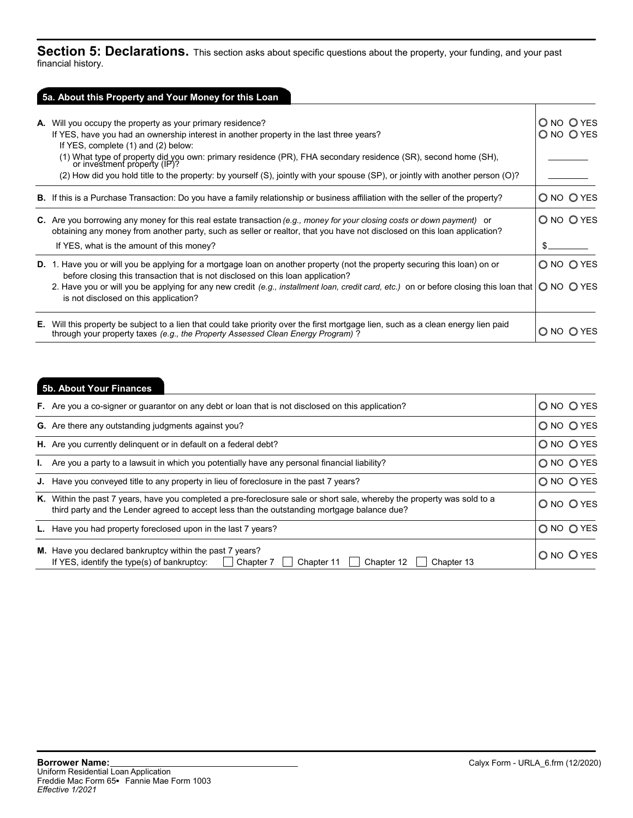**Section 5: Declarations.** This section asks about specific questions about the property, your funding, and your past financial history.

| 5a. About this Property and Your Money for this Loan                                                                                                                                                                                                |          |                      |
|-----------------------------------------------------------------------------------------------------------------------------------------------------------------------------------------------------------------------------------------------------|----------|----------------------|
| A. Will you occupy the property as your primary residence?<br>If YES, have you had an ownership interest in another property in the last three years?<br>If YES, complete (1) and (2) below:                                                        |          | ONO OYES<br>ONO OYES |
| (1) What type of property did you own: primary residence (PR), FHA secondary residence (SR), second home (SH), or investment property (IP)?                                                                                                         |          |                      |
| (2) How did you hold title to the property: by yourself (S), jointly with your spouse (SP), or jointly with another person (O)?                                                                                                                     |          |                      |
| B. If this is a Purchase Transaction: Do you have a family relationship or business affiliation with the seller of the property?                                                                                                                    |          | ONO OYES             |
| C. Are you borrowing any money for this real estate transaction (e.g., money for your closing costs or down payment) or<br>obtaining any money from another party, such as seller or realtor, that you have not disclosed on this loan application? |          | ONO OYES             |
| If YES, what is the amount of this money?                                                                                                                                                                                                           |          |                      |
| D. 1. Have you or will you be applying for a mortgage loan on another property (not the property securing this loan) on or<br>before closing this transaction that is not disclosed on this loan application?                                       | ONO OYES |                      |
| 2. Have you or will you be applying for any new credit (e.g., installment loan, credit card, etc.) on or before closing this loan that<br>is not disclosed on this application?                                                                     | ONO OYES |                      |
| <b>E.</b> Will this property be subject to a lien that could take priority over the first mortgage lien, such as a clean energy lien paid<br>through your property taxes (e.g., the Property Assessed Clean Energy Program)?                        | O NO O   | YES                  |

#### **5b. About Your Finances**

| <b>F.</b> Are you a co-signer or guarantor on any debt or loan that is not disclosed on this application?                                                                                                              | ONO OYES |  |
|------------------------------------------------------------------------------------------------------------------------------------------------------------------------------------------------------------------------|----------|--|
| <b>G.</b> Are there any outstanding judgments against you?                                                                                                                                                             | ONO OYES |  |
| H. Are you currently delinguent or in default on a federal debt?                                                                                                                                                       | ONO OYES |  |
| I. Are you a party to a lawsuit in which you potentially have any personal financial liability?                                                                                                                        | ONO OYES |  |
| J. Have you conveyed title to any property in lieu of foreclosure in the past 7 years?                                                                                                                                 | ONO OYES |  |
| K. Within the past 7 years, have you completed a pre-foreclosure sale or short sale, whereby the property was sold to a<br>third party and the Lender agreed to accept less than the outstanding mortgage balance due? | ONO OYES |  |
| <b>L.</b> Have you had property foreclosed upon in the last 7 years?                                                                                                                                                   | ONO OYES |  |
| M. Have you declared bankruptcy within the past 7 years?<br>Chapter $12$    <br>If YES, identify the type(s) of bankruptcy:<br>Chapter 7<br>Chapter 11<br>Chapter 13<br><b>Contract</b>                                | ONO OYES |  |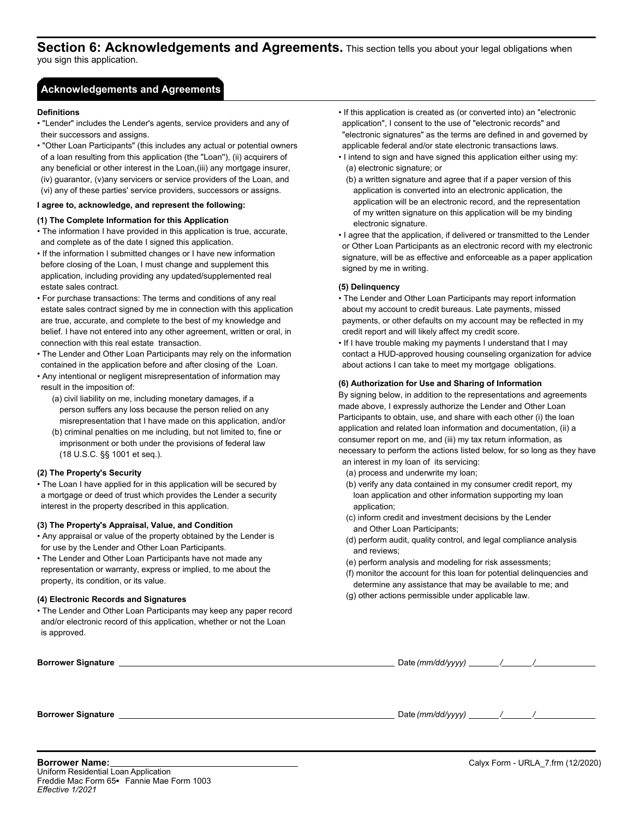# **Section 6: Acknowledgements and Agreements.** This section tells you about your legal obligations when

you sign this application.

### **Acknowledgements and Agreements**

#### **Definitions**

- "Lender" includes the Lender's agents, service providers and any of their successors and assigns.
- "Other Loan Participants" (this includes any actual or potential owners of a loan resulting from this application (the "Loan''), (ii) acquirers of any beneficial or other interest in the Loan,(iii) any mortgage insurer, (iv) guarantor, (v)any servicers or service providers of the Loan, and (vi) any of these parties' service providers, successors or assigns.

#### **I agree to, acknowledge, and represent the following:**

#### **(1) The Complete Information for this Application**

- The information I have provided in this application is true, accurate, and complete as of the date I signed this application.
- If the information I submitted changes or I have new information before closing of the Loan, I must change and supplement this application, including providing any updated/supplemented real estate sales contract.
- For purchase transactions: The terms and conditions of any real estate sales contract signed by me in connection with this application are true, accurate, and complete to the best of my knowledge and belief. I have not entered into any other agreement, written or oral, in connection with this real estate transaction.
- The Lender and Other Loan Participants may rely on the information contained in the application before and after closing of the Loan.
- Any intentional or negligent misrepresentation of information may result in the imposition of:
	- (a) civil liability on me, including monetary damages, if a person suffers any loss because the person relied on any misrepresentation that I have made on this application, and/or
	- (b) criminal penalties on me including, but not limited to, fine or imprisonment or both under the provisions of federal law (18 U.S.C. §§ 1001 et seq.).

#### **(2) The Property's Security**

• The Loan I have applied for in this application will be secured by a mortgage or deed of trust which provides the Lender a security interest in the property described in this application.

#### **(3) The Property's Appraisal, Value, and Condition**

- Any appraisal or value of the property obtained by the Lender is for use by the Lender and Other Loan Participants.
- The Lender and Other Loan Participants have not made any representation or warranty, express or implied, to me about the property, its condition, or its value.

#### **(4) Electronic Records and Signatures**

• The Lender and Other Loan Participants may keep any paper record and/or electronic record of this application, whether or not the Loan is approved.

- If this application is created as (or converted into) an "electronic application", I consent to the use of "electronic records" and "electronic signatures" as the terms are defined in and governed by applicable federal and/or state electronic transactions laws.
- I intend to sign and have signed this application either using my: (a) electronic signature; or
- (b) a written signature and agree that if a paper version of this application is converted into an electronic application, the application will be an electronic record, and the representation of my written signature on this application will be my binding electronic signature.
- I agree that the application, if delivered or transmitted to the Lender or Other Loan Participants as an electronic record with my electronic signature, will be as effective and enforceable as a paper application signed by me in writing.

#### **(5) Delinquency**

- The Lender and Other Loan Participants may report information about my account to credit bureaus. Late payments, missed payments, or other defaults on my account may be reflected in my credit report and will likely affect my credit score.
- If I have trouble making my payments I understand that I may contact a HUD-approved housing counseling organization for advice about actions I can take to meet my mortgage obligations.

#### **(6) Authorization for Use and Sharing of Information**

By signing below, in addition to the representations and agreements made above, I expressly authorize the Lender and Other Loan Participants to obtain, use, and share with each other (i) the loan application and related loan information and documentation, (ii) a consumer report on me, and (iii) my tax return information, as necessary to perform the actions listed below, for so long as they have an interest in my loan of its servicing:

- (a) process and underwrite my loan;
- (b) verify any data contained in my consumer credit report, my loan application and other information supporting my loan application;
- (c) inform credit and investment decisions by the Lender and Other Loan Participants;
- (d) perform audit, quality control, and legal compliance analysis and reviews;
- (e) perform analysis and modeling for risk assessments;
- (f) monitor the account for this loan for potential delinquencies and determine any assistance that may be available to me; and
- (g) other actions permissible under applicable law.

Date *(mm/dd/yyyy)*

**Borrower Signature**

*/ /*

| Date (mm/dd/yyyy) |  |
|-------------------|--|
|                   |  |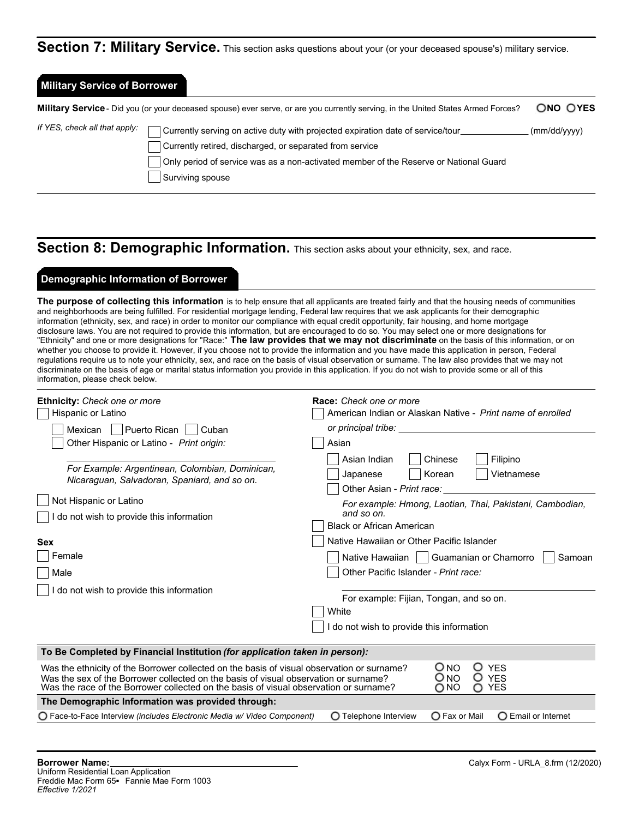### **Section 7: Military Service.** This section asks questions about your (or your deceased spouse's) military service.

| <b>Military Service of Borrower</b> |                                                                                                                                                                                                                                                           |                 |
|-------------------------------------|-----------------------------------------------------------------------------------------------------------------------------------------------------------------------------------------------------------------------------------------------------------|-----------------|
|                                     | <b>Military Service</b> - Did you (or your deceased spouse) ever serve, or are you currently serving, in the United States Armed Forces?                                                                                                                  | <b>ONO OYES</b> |
| If YES, check all that apply:       | Currently serving on active duty with projected expiration date of service/tour_<br>Currently retired, discharged, or separated from service<br>Only period of service was as a non-activated member of the Reserve or National Guard<br>Surviving spouse | (mm/dd/yyyy)    |

### **Section 8: Demographic Information.** This section asks about your ethnicity, sex, and race.

#### **Demographic Information of Borrower**

**The purpose of collecting this information** is to help ensure that all applicants are treated fairly and that the housing needs of communities and neighborhoods are being fulfilled. For residential mortgage lending, Federal law requires that we ask applicants for their demographic information (ethnicity, sex, and race) in order to monitor our compliance with equal credit opportunity, fair housing, and home mortgage disclosure laws. You are not required to provide this information, but are encouraged to do so. You may select one or more designations for "Ethnicity" and one or more designations for "Race:" **The law provides that we may not discriminate** on the basis of this information, or on whether you choose to provide it. However, if you choose not to provide the information and you have made this application in person, Federal regulations require us to note your ethnicity, sex, and race on the basis of visual observation or surname. The law also provides that we may not discriminate on the basis of age or marital status information you provide in this application. If you do not wish to provide some or all of this information, please check below.

| <b>Ethnicity:</b> Check one or more                                                                                                                                                                                                                                         | Race: Check one or more                                                                              |
|-----------------------------------------------------------------------------------------------------------------------------------------------------------------------------------------------------------------------------------------------------------------------------|------------------------------------------------------------------------------------------------------|
| Hispanic or Latino                                                                                                                                                                                                                                                          | American Indian or Alaskan Native - Print name of enrolled                                           |
| l Puerto Rican<br>Mexican<br>Cuban                                                                                                                                                                                                                                          | or principal tribe:                                                                                  |
| Other Hispanic or Latino - Print origin:                                                                                                                                                                                                                                    | Asian                                                                                                |
| For Example: Argentinean, Colombian, Dominican,<br>Nicaraguan, Salvadoran, Spaniard, and so on.                                                                                                                                                                             | Filipino<br>Asian Indian<br>Chinese<br>Vietnamese<br>Korean<br>Japanese<br>Other Asian - Print race: |
| Not Hispanic or Latino                                                                                                                                                                                                                                                      | For example: Hmong, Laotian, Thai, Pakistani, Cambodian,                                             |
| do not wish to provide this information                                                                                                                                                                                                                                     | and so on.<br><b>Black or African American</b>                                                       |
| <b>Sex</b>                                                                                                                                                                                                                                                                  | Native Hawaiian or Other Pacific Islander                                                            |
| Female                                                                                                                                                                                                                                                                      | Native Hawaiian    <br>Guamanian or Chamorro<br>Samoan                                               |
| Male                                                                                                                                                                                                                                                                        | Other Pacific Islander - Print race:                                                                 |
| I do not wish to provide this information                                                                                                                                                                                                                                   | For example: Fijian, Tongan, and so on.<br>White<br>do not wish to provide this information          |
| To Be Completed by Financial Institution (for application taken in person):                                                                                                                                                                                                 |                                                                                                      |
| Was the ethnicity of the Borrower collected on the basis of visual observation or surname?<br>Was the sex of the Borrower collected on the basis of visual observation or surname?<br>Was the race of the Borrower collected on the basis of visual observation or surname? | O NO<br><b>YES</b><br>O<br>O NO<br>О<br><b>YES</b><br>O NO<br><b>YES</b><br>O                        |
| The Demographic Information was provided through:                                                                                                                                                                                                                           |                                                                                                      |
| O Face-to-Face Interview (includes Electronic Media w/ Video Component)                                                                                                                                                                                                     | O Fax or Mail<br><b>O</b> Email or Internet<br>O Telephone Interview                                 |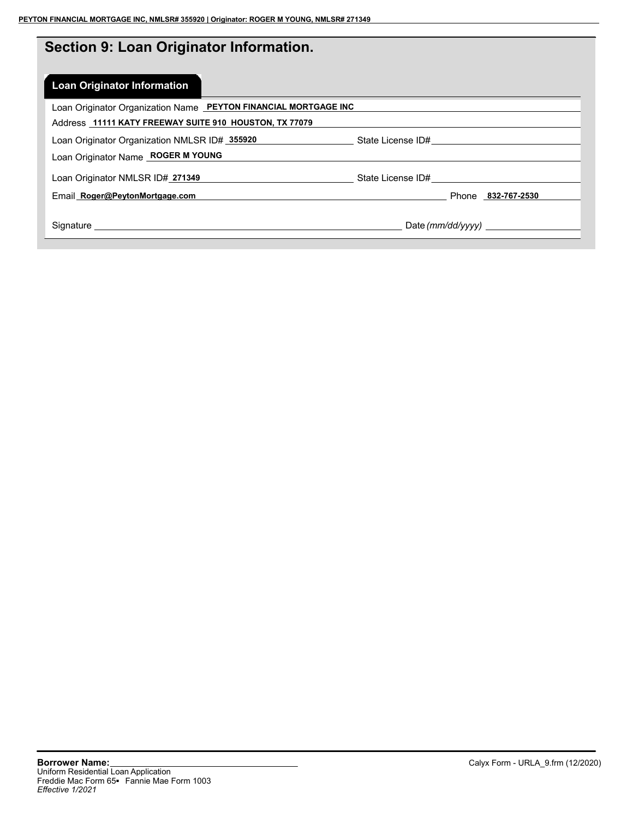| Section 9: Loan Originator Information.                                           |                                                                                                                |
|-----------------------------------------------------------------------------------|----------------------------------------------------------------------------------------------------------------|
|                                                                                   |                                                                                                                |
|                                                                                   |                                                                                                                |
| <b>Loan Originator Information</b>                                                |                                                                                                                |
|                                                                                   |                                                                                                                |
| Loan Originator Organization Name PEYTON FINANCIAL MORTGAGE INC                   |                                                                                                                |
| Address 11111 KATY FREEWAY SUITE 910 HOUSTON, TX 77079                            |                                                                                                                |
| Loan Originator Organization NMLSR ID# 355920 State License ID# State License ID# |                                                                                                                |
| Loan Originator Name ROGER M YOUNG                                                |                                                                                                                |
| Loan Originator NMLSR ID# 271349                 State License ID#                |                                                                                                                |
| Email Roger@PeytonMortgage.com                                                    | Phone 832-767-2530 بالتي تقدم المستقلة المستقلة المستقلة المستقلة المستقلة المستقلة المستقلة المستقلة المستقلة |
|                                                                                   |                                                                                                                |
|                                                                                   |                                                                                                                |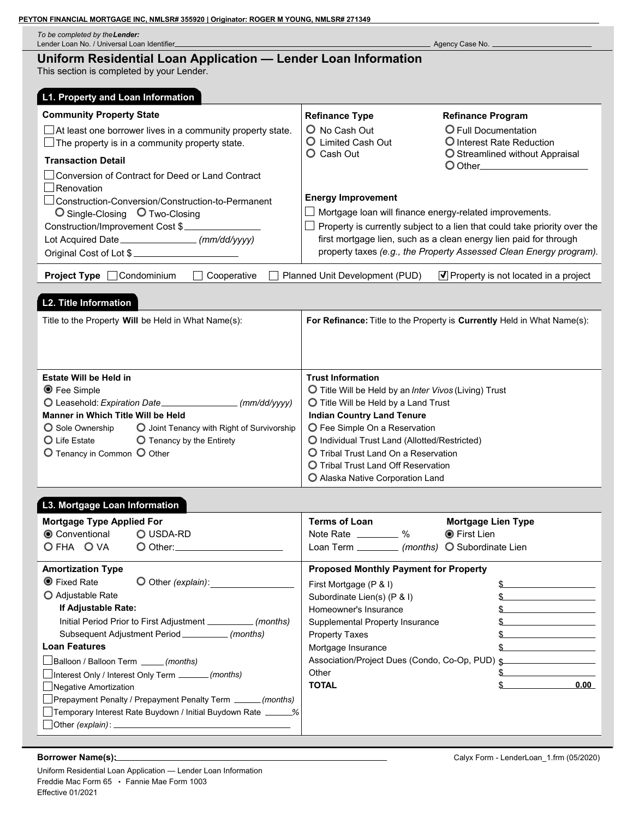**PEYTON FINANCIAL MORTGAGE INC, NMLSR# 355920 | Originator: ROGER M YOUNG, NMLSR# 271349**

*To be completed by theLender:* Lender Loan No. / Universal Loan Identifier **Agency Case No. 2016** No. 2016 No. 2016 No. 2016 No. 2016 No. 2016

## **Uniform Residential Loan Application — Lender Loan Information**

This section is completed by your Lender.

| L1. Property and Loan Information                                                                                          |                                                         |                                                                                             |
|----------------------------------------------------------------------------------------------------------------------------|---------------------------------------------------------|---------------------------------------------------------------------------------------------|
| <b>Community Property State</b>                                                                                            | <b>Refinance Type</b>                                   | <b>Refinance Program</b>                                                                    |
| $\Box$ At least one borrower lives in a community property state.<br>$\Box$ The property is in a community property state. | O No Cash Out<br>O Limited Cash Out<br>O Cash Out       | O Full Documentation<br><b>O</b> Interest Rate Reduction<br>O Streamlined without Appraisal |
| <b>Transaction Detail</b>                                                                                                  |                                                         | $\bigcirc$ Other                                                                            |
| Conversion of Contract for Deed or Land Contract                                                                           |                                                         |                                                                                             |
| Renovation                                                                                                                 |                                                         |                                                                                             |
| Construction-Conversion/Construction-to-Permanent                                                                          | <b>Energy Improvement</b>                               |                                                                                             |
| O Single-Closing O Two-Closing                                                                                             | Mortgage loan will finance energy-related improvements. |                                                                                             |
| Construction/Improvement Cost \$                                                                                           |                                                         | Property is currently subject to a lien that could take priority over the                   |
|                                                                                                                            |                                                         | first mortgage lien, such as a clean energy lien paid for through                           |
| Original Cost of Lot \$                                                                                                    |                                                         | property taxes (e.g., the Property Assessed Clean Energy program).                          |
|                                                                                                                            |                                                         |                                                                                             |

| <b>Project Type</b> $\Box$ Condominium $\Box$ Cooperative $\Box$ Planned Unit Development (PUD) $\Box$ Property is not located in a project |  |  |  |  |
|---------------------------------------------------------------------------------------------------------------------------------------------|--|--|--|--|
|---------------------------------------------------------------------------------------------------------------------------------------------|--|--|--|--|

### **L2. Title Information**

**L3. Mortgage Loan Information**

| Title to the Property Will be Held in What Name(s): |                                            | For Refinance: Title to the Property is Currently Held in What Name(s): |
|-----------------------------------------------------|--------------------------------------------|-------------------------------------------------------------------------|
|                                                     |                                            |                                                                         |
|                                                     |                                            |                                                                         |
| Estate Will be Held in                              |                                            | <b>Trust Information</b>                                                |
|                                                     |                                            |                                                                         |
| ● Fee Simple                                        |                                            | O Title Will be Held by an Inter Vivos (Living) Trust                   |
| O Leasehold: Expiration Date                        | (mm/dd/yyyy)                               | O Title Will be Held by a Land Trust                                    |
| Manner in Which Title Will be Held                  |                                            | <b>Indian Country Land Tenure</b>                                       |
| O Sole Ownership                                    | O Joint Tenancy with Right of Survivorship | O Fee Simple On a Reservation                                           |
| O Life Estate                                       | O Tenancy by the Entirety                  | O Individual Trust Land (Allotted/Restricted)                           |
| O Tenancy in Common O Other                         |                                            | O Tribal Trust Land On a Reservation                                    |
|                                                     |                                            | <b>O</b> Tribal Trust Land Off Reservation                              |
|                                                     |                                            | O Alaska Native Corporation Land                                        |

| Lo. Mortgage Loan Imormation                                     |                                                 |                           |
|------------------------------------------------------------------|-------------------------------------------------|---------------------------|
| <b>Mortgage Type Applied For</b>                                 | <b>Terms of Loan</b>                            | <b>Mortgage Lien Type</b> |
| Conventional C USDA-RD                                           | Note Rate _________ %<br><b>● First Lien</b>    |                           |
| OFHA OVA OOther:                                                 | Loan Term _________ (months) O Subordinate Lien |                           |
| <b>Amortization Type</b>                                         | <b>Proposed Monthly Payment for Property</b>    |                           |
| $\bullet$ Fixed Rate<br>O Other (explain): ____________          | First Mortgage (P & I)                          |                           |
| O Adjustable Rate                                                | Subordinate Lien(s) (P & I)                     |                           |
| If Adjustable Rate:                                              | Homeowner's Insurance                           |                           |
| Initial Period Prior to First Adjustment _____________ (months)  | Supplemental Property Insurance                 |                           |
| Subsequent Adjustment Period ____________ (months)               | <b>Property Taxes</b>                           |                           |
| <b>Loan Features</b>                                             | Mortgage Insurance                              |                           |
| Balloon / Balloon Term <i>_____(months)</i>                      | Association/Project Dues (Condo, Co-Op, PUD) \$ |                           |
| Interest Only / Interest Only Term <i>_______(months)</i>        | Other                                           |                           |
| Negative Amortization                                            | <b>TOTAL</b>                                    | 0.00                      |
| Prepayment Penalty / Prepayment Penalty Term ______(months)      |                                                 |                           |
| □ Temporary Interest Rate Buydown / Initial Buydown Rate ______% |                                                 |                           |
|                                                                  |                                                 |                           |
|                                                                  |                                                 |                           |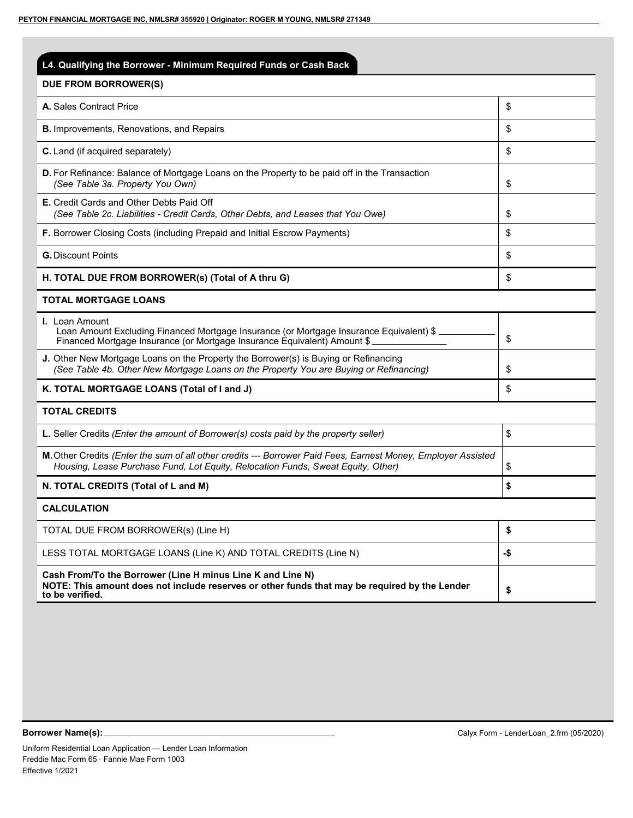| L4. Qualifying the Borrower - Minimum Required Funds or Cash Back                                                                                                                                 |     |  |  |  |
|---------------------------------------------------------------------------------------------------------------------------------------------------------------------------------------------------|-----|--|--|--|
| DUE FROM BORROWER(S)                                                                                                                                                                              |     |  |  |  |
| A. Sales Contract Price                                                                                                                                                                           | \$  |  |  |  |
| <b>B.</b> Improvements, Renovations, and Repairs                                                                                                                                                  | \$  |  |  |  |
| C. Land (if acquired separately)                                                                                                                                                                  | \$  |  |  |  |
| D. For Refinance: Balance of Mortgage Loans on the Property to be paid off in the Transaction<br>(See Table 3a. Property You Own)                                                                 | \$  |  |  |  |
| <b>E.</b> Credit Cards and Other Debts Paid Off<br>(See Table 2c. Liabilities - Credit Cards, Other Debts, and Leases that You Owe)                                                               | \$  |  |  |  |
| F. Borrower Closing Costs (including Prepaid and Initial Escrow Payments)                                                                                                                         | \$  |  |  |  |
| <b>G.</b> Discount Points                                                                                                                                                                         | \$  |  |  |  |
| H. TOTAL DUE FROM BORROWER(s) (Total of A thru G)                                                                                                                                                 | \$  |  |  |  |
| <b>TOTAL MORTGAGE LOANS</b>                                                                                                                                                                       |     |  |  |  |
| <b>I.</b> Loan Amount<br>Loan Amount Excluding Financed Mortgage Insurance (or Mortgage Insurance Equivalent) \$<br>Financed Mortgage Insurance (or Mortgage Insurance Equivalent) Amount \$      | \$  |  |  |  |
| J. Other New Mortgage Loans on the Property the Borrower(s) is Buying or Refinancing<br>(See Table 4b. Other New Mortgage Loans on the Property You are Buying or Refinancing)                    | \$  |  |  |  |
| K. TOTAL MORTGAGE LOANS (Total of I and J)                                                                                                                                                        | \$  |  |  |  |
| <b>TOTAL CREDITS</b>                                                                                                                                                                              |     |  |  |  |
| L. Seller Credits (Enter the amount of Borrower(s) costs paid by the property seller)                                                                                                             | \$  |  |  |  |
| M. Other Credits (Enter the sum of all other credits --- Borrower Paid Fees, Earnest Money, Employer Assisted<br>Housing, Lease Purchase Fund, Lot Equity, Relocation Funds, Sweat Equity, Other) | \$  |  |  |  |
| N. TOTAL CREDITS (Total of L and M)                                                                                                                                                               | \$  |  |  |  |
| <b>CALCULATION</b>                                                                                                                                                                                |     |  |  |  |
| TOTAL DUE FROM BORROWER(s) (Line H)                                                                                                                                                               | \$  |  |  |  |
| LESS TOTAL MORTGAGE LOANS (Line K) AND TOTAL CREDITS (Line N)                                                                                                                                     | -\$ |  |  |  |
| Cash From/To the Borrower (Line H minus Line K and Line N)<br>NOTE: This amount does not include reserves or other funds that may be required by the Lender<br>to be verified.                    | \$  |  |  |  |

**Borrower Name(s):**

Uniform Residential Loan Application — Lender Loan Information Freddie Mac Form 65 · Fannie Mae Form 1003 Effective 1/2021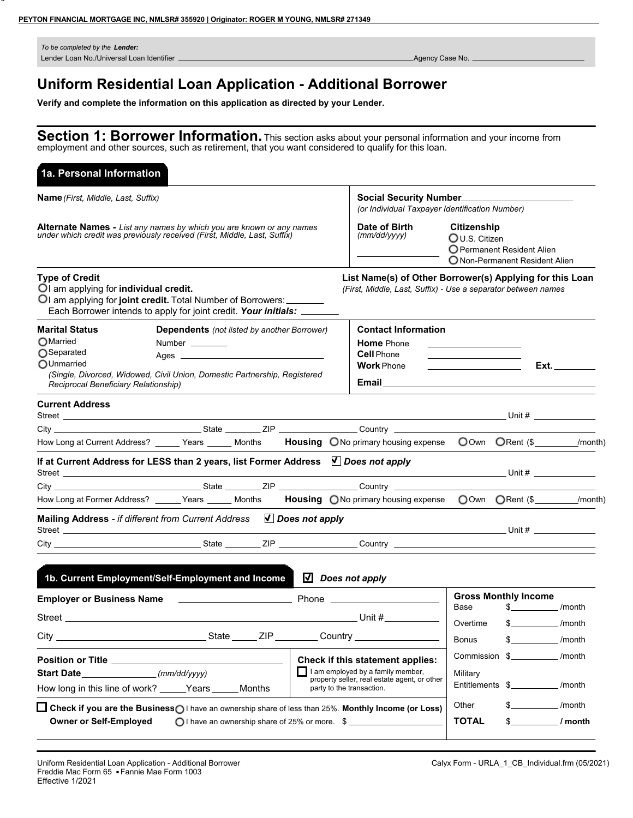| To be completed by the Lender:            |  |
|-------------------------------------------|--|
| Lender Loan No./Universal Loan Identifier |  |

**#ADV** 

Agency Case No.

### **Uniform Residential Loan Application - Additional Borrower**

**Verify and complete the information on this application as directed by your Lender.**

**Section 1: Borrower Information.** This section asks about your personal information and your income from employment and other sources, such as retirement, that you want considered to qualify for this loan.

| 1a. Personal Information                                                                                                                                                                         |                                                                      |  |                                                                                                                           |                                                                                                  |                                                              |        |
|--------------------------------------------------------------------------------------------------------------------------------------------------------------------------------------------------|----------------------------------------------------------------------|--|---------------------------------------------------------------------------------------------------------------------------|--------------------------------------------------------------------------------------------------|--------------------------------------------------------------|--------|
| <b>Name</b> (First, Middle, Last, Suffix)                                                                                                                                                        |                                                                      |  | (or Individual Taxpayer Identification Number)                                                                            |                                                                                                  |                                                              |        |
| Alternate Names - List any names by which you are known or any names under which credit was previously received (First, Middle, Last, Suffix)                                                    |                                                                      |  | Date of Birth<br>(mm/dd/yyyy)                                                                                             | <b>Citizenship</b><br>OU.S. Citizen                                                              | O Permanent Resident Alien<br>O Non-Permanent Resident Alien |        |
| <b>Type of Credit</b><br>OI am applying for individual credit.<br>OI am applying for joint credit. Total Number of Borrowers:<br>Each Borrower intends to apply for joint credit. Your initials: |                                                                      |  | List Name(s) of Other Borrower(s) Applying for this Loan<br>(First, Middle, Last, Suffix) - Use a separator between names |                                                                                                  |                                                              |        |
| <b>Marital Status</b><br>OMarried<br>○Separated<br><b>OUnmarried</b><br>(Single, Divorced, Widowed, Civil Union, Domestic Partnership, Registered<br>Reciprocal Beneficiary Relationship)        | <b>Dependents</b> (not listed by another Borrower)<br>Number _______ |  | <b>Contact Information</b><br><b>Home</b> Phone<br><b>Cell</b> Phone<br><b>Work</b> Phone                                 | <u> 1989 - Johann John Stone, francuski politik († 1908)</u><br><u> The Common School (1989)</u> |                                                              | Ext.   |
| <b>Current Address</b><br>Street Unit #                                                                                                                                                          |                                                                      |  |                                                                                                                           |                                                                                                  |                                                              |        |
| City Country State ZIP Country Country                                                                                                                                                           |                                                                      |  |                                                                                                                           |                                                                                                  |                                                              |        |
| How Long at Current Address? _____ Years _____ Months <b>Housing ONo primary housing expense</b> OOwn ORent (\$________/month)                                                                   |                                                                      |  |                                                                                                                           |                                                                                                  |                                                              |        |
| If at Current Address for LESS than 2 years, list Former Address   Does not apply                                                                                                                |                                                                      |  |                                                                                                                           |                                                                                                  |                                                              |        |
|                                                                                                                                                                                                  |                                                                      |  |                                                                                                                           |                                                                                                  |                                                              |        |
| How Long at Former Address? ______ Years _____ Months                                                                                                                                            |                                                                      |  | Housing ONo primary housing expense OOwn ORent (\$________/month)                                                         |                                                                                                  |                                                              |        |
| Mailing Address - if different from Current Address $\blacksquare$ Does not apply                                                                                                                |                                                                      |  | <u>Denote the contract of the contract of the contract of the contract of the contract of the contract of the con</u>     |                                                                                                  |                                                              |        |
|                                                                                                                                                                                                  |                                                                      |  |                                                                                                                           |                                                                                                  |                                                              |        |
| 1b. Current Employment/Self-Employment and Income                                                                                                                                                |                                                                      |  | $\sqrt{ }$ Does not apply                                                                                                 |                                                                                                  |                                                              |        |
|                                                                                                                                                                                                  |                                                                      |  |                                                                                                                           |                                                                                                  | <b>Gross Monthly Income</b>                                  |        |
|                                                                                                                                                                                                  |                                                                      |  |                                                                                                                           | Base                                                                                             | $\frac{1}{2}$ /month                                         |        |
|                                                                                                                                                                                                  |                                                                      |  |                                                                                                                           | Overtime                                                                                         | $\frac{1}{2}$ /month                                         |        |
|                                                                                                                                                                                                  |                                                                      |  |                                                                                                                           | Bonus                                                                                            | \$ /month                                                    |        |
| <b>Position or Title Example 20</b>                                                                                                                                                              |                                                                      |  | Check if this statement applies:<br>I am employed by a family member,                                                     |                                                                                                  | Commission \$______                                          | /month |
|                                                                                                                                                                                                  |                                                                      |  | property seller, real estate agent, or other                                                                              | Military                                                                                         | Entitlements \$_____________/month                           |        |
| How long in this line of work? _____Years _____Months                                                                                                                                            |                                                                      |  | party to the transaction.                                                                                                 |                                                                                                  |                                                              |        |
| $\Box$ Check if you are the Business $\bigcirc$ I have an ownership share of less than 25%. Monthly Income (or Loss)                                                                             |                                                                      |  |                                                                                                                           | Other                                                                                            |                                                              | /month |
| <b>Owner or Self-Employed</b>                                                                                                                                                                    |                                                                      |  | ◯ I have an ownership share of 25% or more. \$                                                                            | <b>TOTAL</b>                                                                                     | $\frac{1}{2}$ / month                                        |        |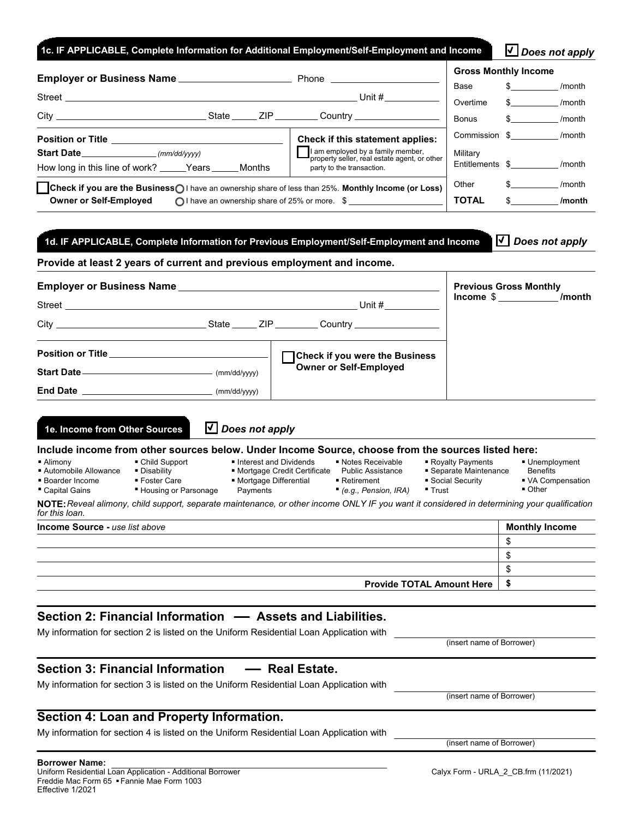### **1c. IF APPLICABLE, Complete Information for Additional Employment/Self-Employment and Income** *Does not apply*

|                                                       |  |  | <b>Gross Monthly Income</b>                                                                         |                      |              |        |
|-------------------------------------------------------|--|--|-----------------------------------------------------------------------------------------------------|----------------------|--------------|--------|
|                                                       |  |  |                                                                                                     | Base                 | $\mathbb{S}$ | /month |
| Street                                                |  |  | Unit #                                                                                              | Overtime             | $\mathbb{S}$ | /month |
|                                                       |  |  |                                                                                                     | Bonus                | $\mathbb{S}$ | /month |
| Position or Title ____________________________        |  |  | Check if this statement applies:                                                                    | Commission \$ /month |              |        |
|                                                       |  |  | I am employed by a family member,<br>property seller, real estate agent, or other                   | Military             |              |        |
| How long in this line of work? _____Years _____Months |  |  | party to the transaction.                                                                           | Entitlements \$      |              | /month |
|                                                       |  |  | Check if you are the Business∩ I have an ownership share of less than 25%. Monthly Income (or Loss) | Other                |              | /month |
| Owner or Self-Employed                                |  |  | ◯ I have an ownership share of 25% or more. \$                                                      | <b>TOTAL</b>         | $\mathbb{S}$ | /month |
|                                                       |  |  |                                                                                                     |                      |              |        |

1d. IF APPLICABLE, Complete Information for Previous Employment/Self-Employment and Income *DOES not apply* 

|  |  | Provide at least 2 years of current and previous employment and income. |  |
|--|--|-------------------------------------------------------------------------|--|
|--|--|-------------------------------------------------------------------------|--|

|                                | <b>Previous Gross Monthly</b> |                                       |  |  |
|--------------------------------|-------------------------------|---------------------------------------|--|--|
|                                | Unit $#$                      | $Income \$ __ /month$                 |  |  |
|                                |                               |                                       |  |  |
|                                |                               | <b>Check if you were the Business</b> |  |  |
| <b>Start Date</b> (mm/dd/yyyy) |                               | Owner or Self-Employed                |  |  |
|                                |                               |                                       |  |  |
|                                |                               |                                       |  |  |

1e. Income from Other Sources *Does not apply* 

|                                                                          |                                                                            | Include income from other sources below. Under Income Source, choose from the sources listed here:                                          |                                                                                         |                                                                                           |                                                                                |
|--------------------------------------------------------------------------|----------------------------------------------------------------------------|---------------------------------------------------------------------------------------------------------------------------------------------|-----------------------------------------------------------------------------------------|-------------------------------------------------------------------------------------------|--------------------------------------------------------------------------------|
| ■ Alimony<br>Automobile Allowance<br>■ Boarder Income<br>■ Capital Gains | ■ Child Support<br>■ Disability<br>■ Foster Care<br>■ Housing or Parsonage | Interest and Dividends<br>■ Mortgage Credit Certificate<br>■ Mortgage Differential<br>Payments                                              | ■ Notes Receivable<br><b>Public Assistance</b><br>■ Retirement<br>$e.g.,$ Pension, IRA) | ■ Royalty Payments<br>■ Separate Maintenance<br>■ Social Security<br>$\blacksquare$ Trust | ■ Unemployment<br><b>Benefits</b><br>■ VA Compensation<br>$\blacksquare$ Other |
| for this loan.                                                           |                                                                            | NOTE: Reveal alimony, child support, separate maintenance, or other income ONLY IF you want it considered in determining your qualification |                                                                                         |                                                                                           |                                                                                |
| <b>Income Source - use list above</b>                                    |                                                                            |                                                                                                                                             |                                                                                         |                                                                                           | <b>Monthly Income</b>                                                          |
|                                                                          |                                                                            |                                                                                                                                             |                                                                                         |                                                                                           |                                                                                |
|                                                                          |                                                                            |                                                                                                                                             |                                                                                         |                                                                                           |                                                                                |

| <b>Section 2: Financial Information</b> | <b>Assets and Liabilities.</b> |
|-----------------------------------------|--------------------------------|
|                                         |                                |

My information for section 2 is listed on the Uniform Residential Loan Application with

#### **Section 3: Financial Information – Real Estate.**

My information for section 3 is listed on the Uniform Residential Loan Application with

### **Section 4: Loan and Property Information.**

My information for section 4 is listed on the Uniform Residential Loan Application with

**Borrower Name:** Uniform Residential Loan Application - Additional Borrower Freddie Mac Form 65 · Fannie Mae Form 1003 Effective 1/2021

(insert name of Borrower)

(insert name of Borrower)

**Provide TOTAL Amount Here**

(insert name of Borrower)

\$ **\$**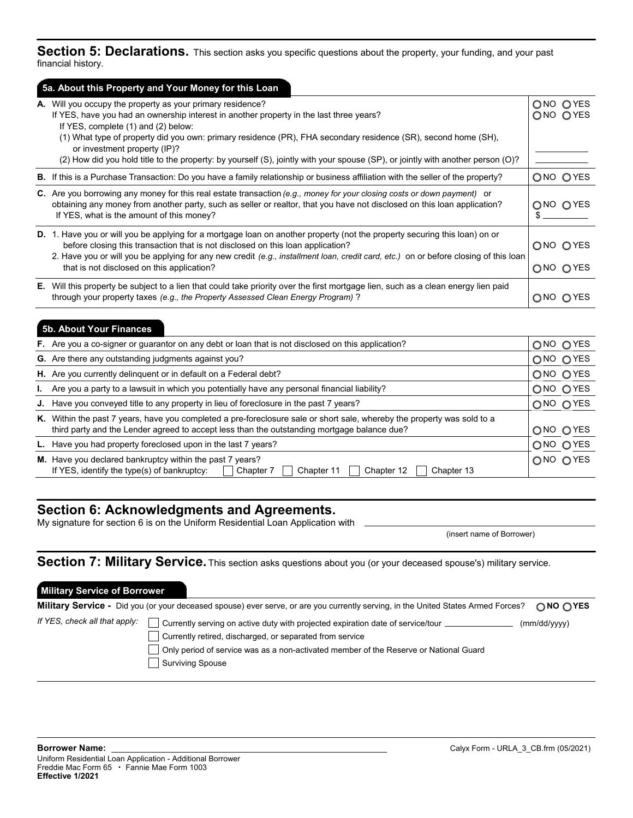**Section 5: Declarations.** This section asks you specific questions about the property, your funding, and your past financial history.

| 5a. About this Property and Your Money for this Loan                                                                                                                                                                                                                                                                                                                                                                                                                              |                      |
|-----------------------------------------------------------------------------------------------------------------------------------------------------------------------------------------------------------------------------------------------------------------------------------------------------------------------------------------------------------------------------------------------------------------------------------------------------------------------------------|----------------------|
| A. Will you occupy the property as your primary residence?<br>If YES, have you had an ownership interest in another property in the last three years?<br>If YES, complete (1) and (2) below:<br>(1) What type of property did you own: primary residence (PR), FHA secondary residence (SR), second home (SH),<br>or investment property (IP)?<br>(2) How did you hold title to the property: by yourself (S), jointly with your spouse (SP), or jointly with another person (O)? | ONO OYES<br>ONO OYES |
| <b>B.</b> If this is a Purchase Transaction: Do you have a family relationship or business affiliation with the seller of the property?                                                                                                                                                                                                                                                                                                                                           | ONO OYES             |
| C. Are you borrowing any money for this real estate transaction (e.g., money for your closing costs or down payment) or<br>obtaining any money from another party, such as seller or realtor, that you have not disclosed on this loan application?<br>If YES, what is the amount of this money?                                                                                                                                                                                  | ONO OYES             |
| <b>D.</b> 1. Have you or will you be applying for a mortgage loan on another property (not the property securing this loan) on or<br>before closing this transaction that is not disclosed on this loan application?<br>2. Have you or will you be applying for any new credit (e.g., installment loan, credit card, etc.) on or before closing of this loan<br>that is not disclosed on this application?                                                                        | ONO OYES<br>ONO OYES |
| <b>E.</b> Will this property be subject to a lien that could take priority over the first mortgage lien, such as a clean energy lien paid<br>through your property taxes (e.g., the Property Assessed Clean Energy Program)?                                                                                                                                                                                                                                                      | ONO OYES             |

### **5b. About Your Finances**

| <b>F.</b> Are you a co-signer or guarantor on any debt or loan that is not disclosed on this application?                                                                                                              | ONO OYES |
|------------------------------------------------------------------------------------------------------------------------------------------------------------------------------------------------------------------------|----------|
| <b>G.</b> Are there any outstanding judgments against you?                                                                                                                                                             | ONO OYES |
| H. Are you currently delinguent or in default on a Federal debt?                                                                                                                                                       | ONO OYES |
| I. Are you a party to a lawsuit in which you potentially have any personal financial liability?                                                                                                                        | ONO OYES |
| J. Have you conveyed title to any property in lieu of foreclosure in the past 7 years?                                                                                                                                 | ONO OYES |
| K. Within the past 7 years, have you completed a pre-foreclosure sale or short sale, whereby the property was sold to a<br>third party and the Lender agreed to accept less than the outstanding mortgage balance due? | ONO OYES |
| L. Have you had property foreclosed upon in the last 7 years?                                                                                                                                                          | ONO OYES |
| M. Have you declared bankruptcy within the past 7 years?<br>If YES, identify the type(s) of bankruptcy:<br>Chapter 7<br>Chapter 12<br>Chapter 13<br>Chapter 11                                                         | ONO OYES |

### **Section 6: Acknowledgments and Agreements.**

My signature for section 6 is on the Uniform Residential Loan Application with

(insert name of Borrower)

### **Section 7: Military Service.** This section asks questions about you (or your deceased spouse's) military service.

| Military Service of Borrower  |                                                                                                                                                                                                                                                                                  |
|-------------------------------|----------------------------------------------------------------------------------------------------------------------------------------------------------------------------------------------------------------------------------------------------------------------------------|
|                               | <b>Military Service -</b> Did you (or your deceased spouse) ever serve, or are you currently serving, in the United States Armed Forces?<br>$\bigcirc$ NO $\bigcirc$ YES                                                                                                         |
| If YES, check all that apply: | Currently serving on active duty with projected expiration date of service/tour _______<br>(mm/dd/yyyy)<br>Currently retired, discharged, or separated from service<br>Only period of service was as a non-activated member of the Reserve or National Guard<br>Surviving Spouse |